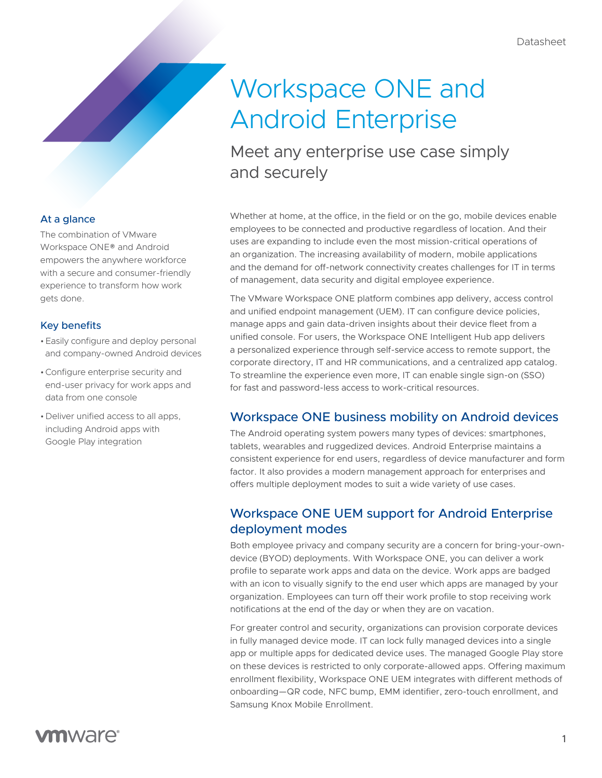# Workspace ONE and Android Enterprise

Meet any enterprise use case simply and securely

Whether at home, at the office, in the field or on the go, mobile devices enable employees to be connected and productive regardless of location. And their uses are expanding to include even the most mission-critical operations of an organization. The increasing availability of modern, mobile applications and the demand for off-network connectivity creates challenges for IT in terms of management, data security and digital employee experience.

The VMware Workspace ONE platform combines app delivery, access control and unified endpoint management (UEM). IT can configure device policies, manage apps and gain data-driven insights about their device fleet from a unified console. For users, the Workspace ONE Intelligent Hub app delivers a personalized experience through self-service access to remote support, the corporate directory, IT and HR communications, and a centralized app catalog. To streamline the experience even more, IT can enable single sign-on (SSO) for fast and password-less access to work-critical resources.

## Workspace ONE business mobility on Android devices

The Android operating system powers many types of devices: smartphones, tablets, wearables and ruggedized devices. Android Enterprise maintains a consistent experience for end users, regardless of device manufacturer and form factor. It also provides a modern management approach for enterprises and offers multiple deployment modes to suit a wide variety of use cases.

## Workspace ONE UEM support for Android Enterprise deployment modes

Both employee privacy and company security are a concern for bring-your-owndevice (BYOD) deployments. With Workspace ONE, you can deliver a work profile to separate work apps and data on the device. Work apps are badged with an icon to visually signify to the end user which apps are managed by your organization. Employees can turn off their work profile to stop receiving work notifications at the end of the day or when they are on vacation.

For greater control and security, organizations can provision corporate devices in fully managed device mode. IT can lock fully managed devices into a single app or multiple apps for dedicated device uses. The managed Google Play store on these devices is restricted to only corporate-allowed apps. Offering maximum enrollment flexibility, Workspace ONE UEM integrates with different methods of onboarding—QR code, NFC bump, EMM identifier, zero-touch enrollment, and Samsung Knox Mobile Enrollment.

#### At a glance

The combination of VMware Workspace ONE® and Android empowers the anywhere workforce with a secure and consumer-friendly experience to transform how work gets done.

#### Key benefits

- •Easily configure and deploy personal and company-owned Android devices
- •Configure enterprise security and end-user privacy for work apps and data from one console
- •Deliver unified access to all apps, including Android apps with Google Play integration

# **vm**ware<sup>®</sup>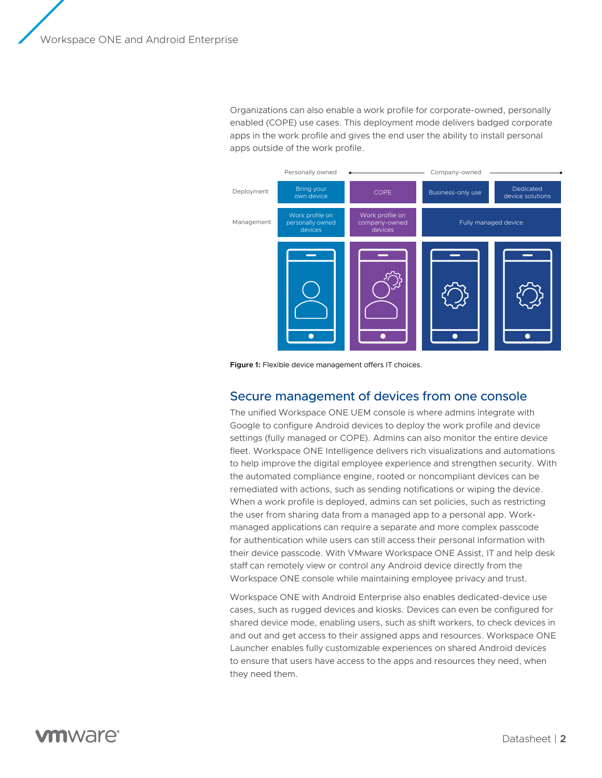Organizations can also enable a work profile for corporate-owned, personally enabled (COPE) use cases. This deployment mode delivers badged corporate apps in the work profile and gives the end user the ability to install personal apps outside of the work profile.



**Figure 1:** Flexible device management offers IT choices.

#### Secure management of devices from one console

The unified Workspace ONE UEM console is where admins integrate with Google to configure Android devices to deploy the work profile and device settings (fully managed or COPE). Admins can also monitor the entire device fleet. Workspace ONE Intelligence delivers rich visualizations and automations to help improve the digital employee experience and strengthen security. With the automated compliance engine, rooted or noncompliant devices can be remediated with actions, such as sending notifications or wiping the device. When a work profile is deployed, admins can set policies, such as restricting the user from sharing data from a managed app to a personal app. Workmanaged applications can require a separate and more complex passcode for authentication while users can still access their personal information with their device passcode. With VMware Workspace ONE Assist, IT and help desk staff can remotely view or control any Android device directly from the Workspace ONE console while maintaining employee privacy and trust.

Workspace ONE with Android Enterprise also enables dedicated-device use cases, such as rugged devices and kiosks. Devices can even be configured for shared device mode, enabling users, such as shift workers, to check devices in and out and get access to their assigned apps and resources. Workspace ONE Launcher enables fully customizable experiences on shared Android devices to ensure that users have access to the apps and resources they need, when they need them.